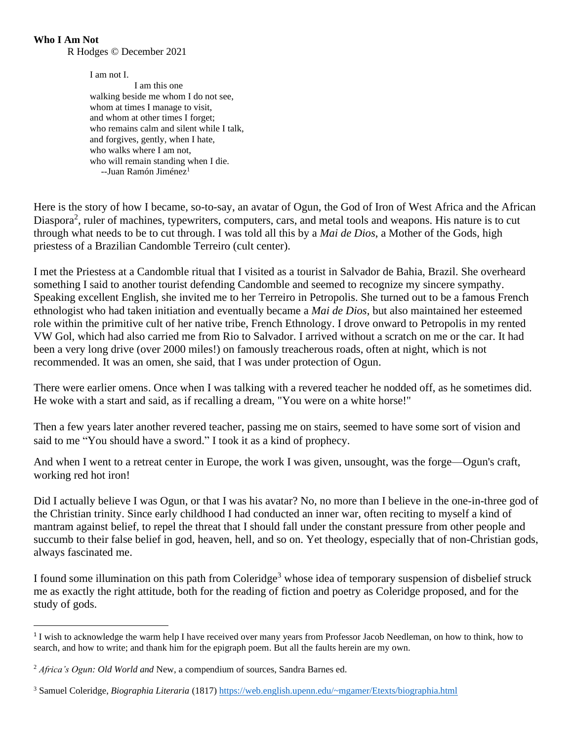## **Who I Am Not**

R Hodges © December 2021

I am not I. I am this one walking beside me whom I do not see, whom at times I manage to visit, and whom at other times I forget; who remains calm and silent while I talk, and forgives, gently, when I hate, who walks where I am not, who will remain standing when I die. --Juan Ramón Jiménez<sup>1</sup>

Here is the story of how I became, so-to-say, an avatar of Ogun, the God of Iron of West Africa and the African Diaspora<sup>2</sup>, ruler of machines, typewriters, computers, cars, and metal tools and weapons. His nature is to cut through what needs to be to cut through. I was told all this by a *Mai de Dios*, a Mother of the Gods, high priestess of a Brazilian Candomble Terreiro (cult center).

I met the Priestess at a Candomble ritual that I visited as a tourist in Salvador de Bahia, Brazil. She overheard something I said to another tourist defending Candomble and seemed to recognize my sincere sympathy. Speaking excellent English, she invited me to her Terreiro in Petropolis. She turned out to be a famous French ethnologist who had taken initiation and eventually became a *Mai de Dios*, but also maintained her esteemed role within the primitive cult of her native tribe, French Ethnology. I drove onward to Petropolis in my rented VW Gol, which had also carried me from Rio to Salvador. I arrived without a scratch on me or the car. It had been a very long drive (over 2000 miles!) on famously treacherous roads, often at night, which is not recommended. It was an omen, she said, that I was under protection of Ogun.

There were earlier omens. Once when I was talking with a revered teacher he nodded off, as he sometimes did. He woke with a start and said, as if recalling a dream, "You were on a white horse!"

Then a few years later another revered teacher, passing me on stairs, seemed to have some sort of vision and said to me "You should have a sword." I took it as a kind of prophecy.

And when I went to a retreat center in Europe, the work I was given, unsought, was the forge—Ogun's craft, working red hot iron!

Did I actually believe I was Ogun, or that I was his avatar? No, no more than I believe in the one-in-three god of the Christian trinity. Since early childhood I had conducted an inner war, often reciting to myself a kind of mantram against belief, to repel the threat that I should fall under the constant pressure from other people and succumb to their false belief in god, heaven, hell, and so on. Yet theology, especially that of non-Christian gods, always fascinated me.

I found some illumination on this path from Coleridge<sup>3</sup> whose idea of temporary suspension of disbelief struck me as exactly the right attitude, both for the reading of fiction and poetry as Coleridge proposed, and for the study of gods.

<sup>&</sup>lt;sup>1</sup> I wish to acknowledge the warm help I have received over many years from Professor Jacob Needleman, on how to think, how to search, and how to write; and thank him for the epigraph poem. But all the faults herein are my own.

<sup>2</sup> *Africa's Ogun: Old World and* New, a compendium of sources, Sandra Barnes ed.

<sup>3</sup> Samuel Coleridge, *Biographia Literaria* (1817)<https://web.english.upenn.edu/~mgamer/Etexts/biographia.html>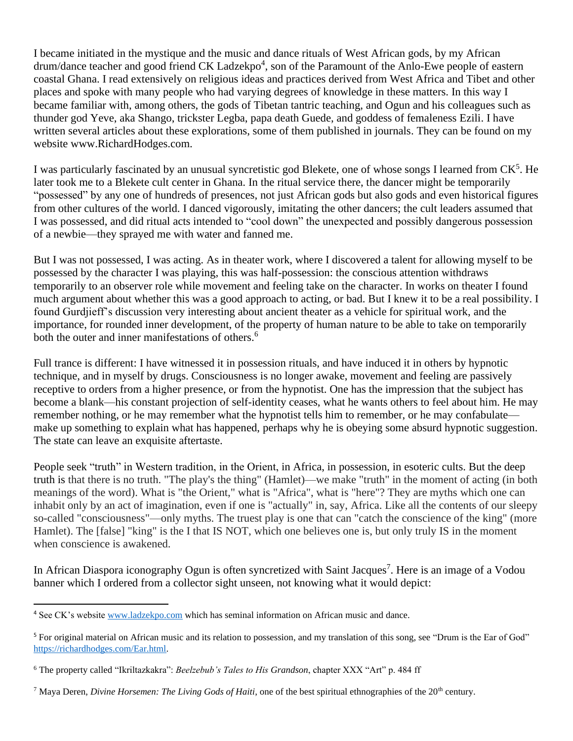I became initiated in the mystique and the music and dance rituals of West African gods, by my African drum/dance teacher and good friend CK Ladzekpo<sup>4</sup>, son of the Paramount of the Anlo-Ewe people of eastern coastal Ghana. I read extensively on religious ideas and practices derived from West Africa and Tibet and other places and spoke with many people who had varying degrees of knowledge in these matters. In this way I became familiar with, among others, the gods of Tibetan tantric teaching, and Ogun and his colleagues such as thunder god Yeve, aka Shango, trickster Legba, papa death Guede, and goddess of femaleness Ezili. I have written several articles about these explorations, some of them published in journals. They can be found on my website www.RichardHodges.com.

I was particularly fascinated by an unusual syncretistic god Blekete, one of whose songs I learned from CK<sup>5</sup>. He later took me to a Blekete cult center in Ghana. In the ritual service there, the dancer might be temporarily "possessed" by any one of hundreds of presences, not just African gods but also gods and even historical figures from other cultures of the world. I danced vigorously, imitating the other dancers; the cult leaders assumed that I was possessed, and did ritual acts intended to "cool down" the unexpected and possibly dangerous possession of a newbie—they sprayed me with water and fanned me.

But I was not possessed, I was acting. As in theater work, where I discovered a talent for allowing myself to be possessed by the character I was playing, this was half-possession: the conscious attention withdraws temporarily to an observer role while movement and feeling take on the character. In works on theater I found much argument about whether this was a good approach to acting, or bad. But I knew it to be a real possibility. I found Gurdjieff's discussion very interesting about ancient theater as a vehicle for spiritual work, and the importance, for rounded inner development, of the property of human nature to be able to take on temporarily both the outer and inner manifestations of others.<sup>6</sup>

Full trance is different: I have witnessed it in possession rituals, and have induced it in others by hypnotic technique, and in myself by drugs. Consciousness is no longer awake, movement and feeling are passively receptive to orders from a higher presence, or from the hypnotist. One has the impression that the subject has become a blank—his constant projection of self-identity ceases, what he wants others to feel about him. He may remember nothing, or he may remember what the hypnotist tells him to remember, or he may confabulate make up something to explain what has happened, perhaps why he is obeying some absurd hypnotic suggestion. The state can leave an exquisite aftertaste.

People seek "truth" in Western tradition, in the Orient, in Africa, in possession, in esoteric cults. But the deep truth is that there is no truth. "The play's the thing" (Hamlet)—we make "truth" in the moment of acting (in both meanings of the word). What is "the Orient," what is "Africa", what is "here"? They are myths which one can inhabit only by an act of imagination, even if one is "actually" in, say, Africa. Like all the contents of our sleepy so-called "consciousness"—only myths. The truest play is one that can "catch the conscience of the king" (more Hamlet). The [false] "king" is the I that IS NOT, which one believes one is, but only truly IS in the moment when conscience is awakened.

In African Diaspora iconography Ogun is often syncretized with Saint Jacques<sup>7</sup>. Here is an image of a Vodou banner which I ordered from a collector sight unseen, not knowing what it would depict:

<sup>4</sup> See CK's website [www.ladzekpo.com](http://www.ladzekpo.com/) which has seminal information on African music and dance.

<sup>&</sup>lt;sup>5</sup> For original material on African music and its relation to possession, and my translation of this song, see "Drum is the Ear of God" [https://richardhodges.com/Ear.html.](https://richardhodges.com/Ear.html)

<sup>6</sup> The property called "Ikriltazkakra": *Beelzebub's Tales to His Grandson*, chapter XXX "Art" p. 484 ff

<sup>&</sup>lt;sup>7</sup> Maya Deren, *Divine Horsemen: The Living Gods of Haiti*, one of the best spiritual ethnographies of the 20<sup>th</sup> century.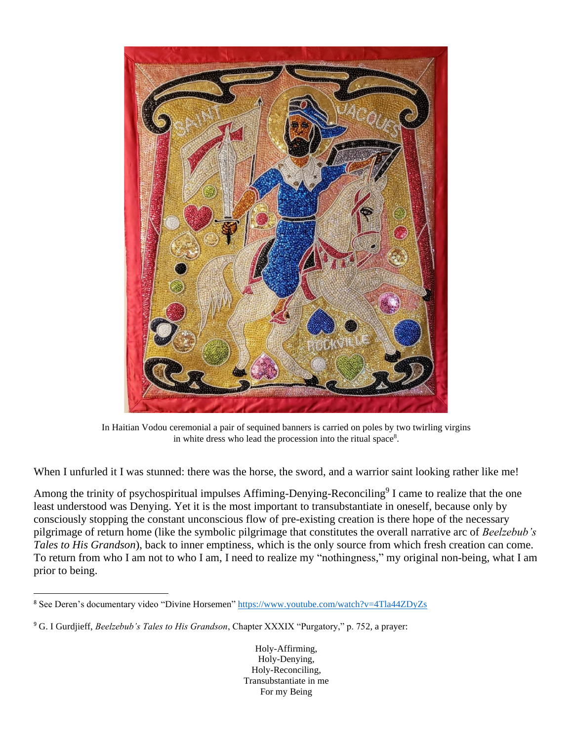

In Haitian Vodou ceremonial a pair of sequined banners is carried on poles by two twirling virgins in white dress who lead the procession into the ritual space<sup>8</sup>.

When I unfurled it I was stunned: there was the horse, the sword, and a warrior saint looking rather like me!

Among the trinity of psychospiritual impulses Affiming-Denying-Reconciling<sup>9</sup> I came to realize that the one least understood was Denying. Yet it is the most important to transubstantiate in oneself, because only by consciously stopping the constant unconscious flow of pre-existing creation is there hope of the necessary pilgrimage of return home (like the symbolic pilgrimage that constitutes the overall narrative arc of *Beelzebub's Tales to His Grandson*), back to inner emptiness, which is the only source from which fresh creation can come. To return from who I am not to who I am, I need to realize my "nothingness," my original non-being, what I am prior to being.

<sup>8</sup> See Deren's documentary video "Divine Horsemen" <https://www.youtube.com/watch?v=4Tla44ZDyZs>

<sup>9</sup> G. I Gurdjieff, *Beelzebub's Tales to His Grandson*, Chapter XXXIX "Purgatory," p. 752, a prayer: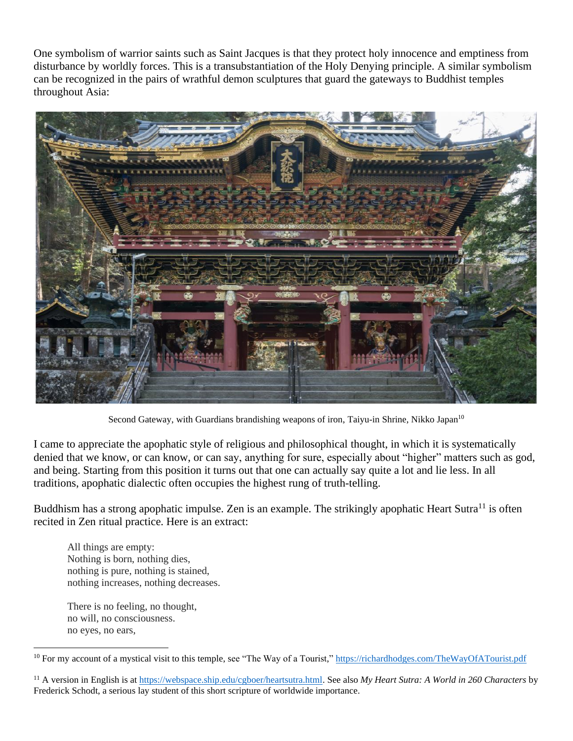One symbolism of warrior saints such as Saint Jacques is that they protect holy innocence and emptiness from disturbance by worldly forces. This is a transubstantiation of the Holy Denying principle. A similar symbolism can be recognized in the pairs of wrathful demon sculptures that guard the gateways to Buddhist temples throughout Asia:



Second Gateway, with Guardians brandishing weapons of iron, Taiyu-in Shrine, Nikko Japan<sup>10</sup>

I came to appreciate the apophatic style of religious and philosophical thought, in which it is systematically denied that we know, or can know, or can say, anything for sure, especially about "higher" matters such as god, and being. Starting from this position it turns out that one can actually say quite a lot and lie less. In all traditions, apophatic dialectic often occupies the highest rung of truth-telling.

Buddhism has a strong apophatic impulse. Zen is an example. The strikingly apophatic Heart Sutra<sup>11</sup> is often recited in Zen ritual practice. Here is an extract:

All things are empty: Nothing is born, nothing dies, nothing is pure, nothing is stained, nothing increases, nothing decreases.

There is no feeling, no thought, no will, no consciousness. no eyes, no ears,

<sup>&</sup>lt;sup>10</sup> For my account of a mystical visit to this temple, see "The Way of a Tourist,"<https://richardhodges.com/TheWayOfATourist.pdf>

<sup>11</sup> A version in English is at [https://webspace.ship.edu/cgboer/heartsutra.html.](https://webspace.ship.edu/cgboer/heartsutra.html) See also *My Heart Sutra: A World in 260 Characters* by Frederick Schodt, a serious lay student of this short scripture of worldwide importance.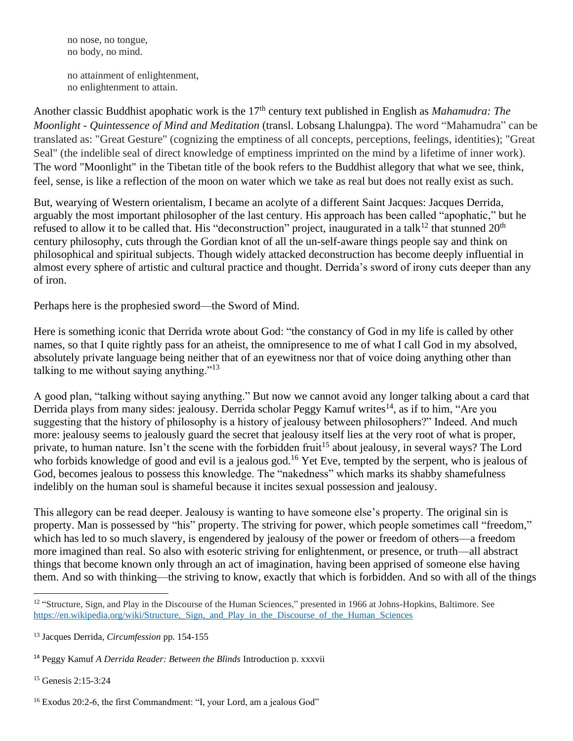no nose, no tongue, no body, no mind.

no attainment of enlightenment, no enlightenment to attain.

Another classic Buddhist apophatic work is the 17<sup>th</sup> century text published in English as *Mahamudra: The Moonlight - Quintessence of Mind and Meditation* (transl. Lobsang Lhalungpa). The word "Mahamudra" can be translated as: "Great Gesture" (cognizing the emptiness of all concepts, perceptions, feelings, identities); "Great Seal" (the indelible seal of direct knowledge of emptiness imprinted on the mind by a lifetime of inner work). The word "Moonlight" in the Tibetan title of the book refers to the Buddhist allegory that what we see, think, feel, sense, is like a reflection of the moon on water which we take as real but does not really exist as such.

But, wearying of Western orientalism, I became an acolyte of a different Saint Jacques: Jacques Derrida, arguably the most important philosopher of the last century. His approach has been called "apophatic," but he refused to allow it to be called that. His "deconstruction" project, inaugurated in a talk<sup>12</sup> that stunned  $20<sup>th</sup>$ century philosophy, cuts through the Gordian knot of all the un-self-aware things people say and think on philosophical and spiritual subjects. Though widely attacked deconstruction has become deeply influential in almost every sphere of artistic and cultural practice and thought. Derrida's sword of irony cuts deeper than any of iron.

Perhaps here is the prophesied sword—the Sword of Mind.

Here is something iconic that Derrida wrote about God: "the constancy of God in my life is called by other names, so that I quite rightly pass for an atheist, the omnipresence to me of what I call God in my absolved, absolutely private language being neither that of an eyewitness nor that of voice doing anything other than talking to me without saying anything."<sup>13</sup>

A good plan, "talking without saying anything." But now we cannot avoid any longer talking about a card that Derrida plays from many sides: jealousy. Derrida scholar Peggy Kamuf writes<sup>14</sup>, as if to him, "Are you suggesting that the history of philosophy is a history of jealousy between philosophers?" Indeed. And much more: jealousy seems to jealously guard the secret that jealousy itself lies at the very root of what is proper, private, to human nature. Isn't the scene with the forbidden fruit<sup>15</sup> about jealousy, in several ways? The Lord who forbids knowledge of good and evil is a jealous god.<sup>16</sup> Yet Eve, tempted by the serpent, who is jealous of God, becomes jealous to possess this knowledge. The "nakedness" which marks its shabby shamefulness indelibly on the human soul is shameful because it incites sexual possession and jealousy.

This allegory can be read deeper. Jealousy is wanting to have someone else's property. The original sin is property. Man is possessed by "his" property. The striving for power, which people sometimes call "freedom," which has led to so much slavery, is engendered by jealousy of the power or freedom of others—a freedom more imagined than real. So also with esoteric striving for enlightenment, or presence, or truth—all abstract things that become known only through an act of imagination, having been apprised of someone else having them. And so with thinking—the striving to know, exactly that which is forbidden. And so with all of the things

<sup>15</sup> Genesis 2:15-3:24

<sup>16</sup> Exodus 20:2-6, the first Commandment: "I, your Lord, am a jealous God"

<sup>&</sup>lt;sup>12</sup> "Structure, Sign, and Play in the Discourse of the Human Sciences," presented in 1966 at Johns-Hopkins, Baltimore. See https://en.wikipedia.org/wiki/Structure, Sign, and Play in the Discourse of the Human Sciences

<sup>13</sup> Jacques Derrida, *Circumfession* pp. 154-155

<sup>14</sup> Peggy Kamuf *A Derrida Reader: Between the Blinds* Introduction p. xxxvii